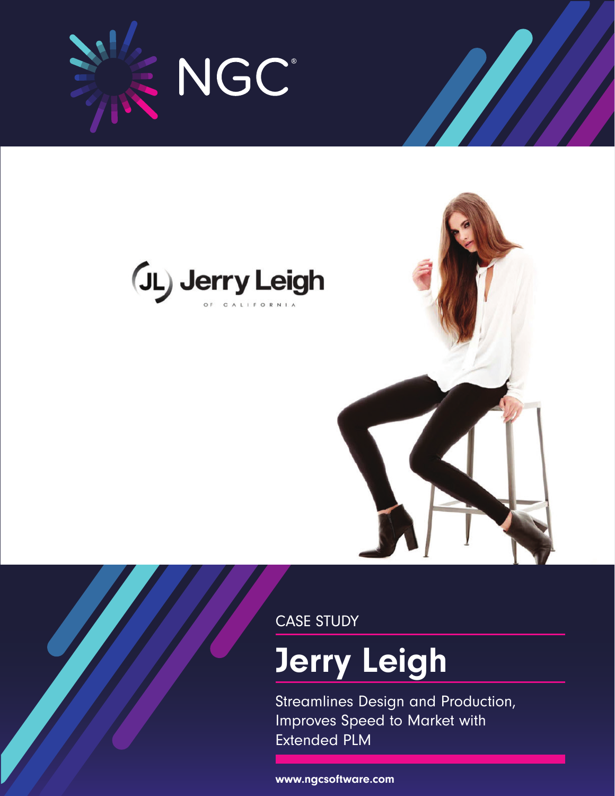





CASE STUDY

# Jerry Leigh

Streamlines Design and Production, Improves Speed to Market with Extended PLM

www.ngcsoftware.com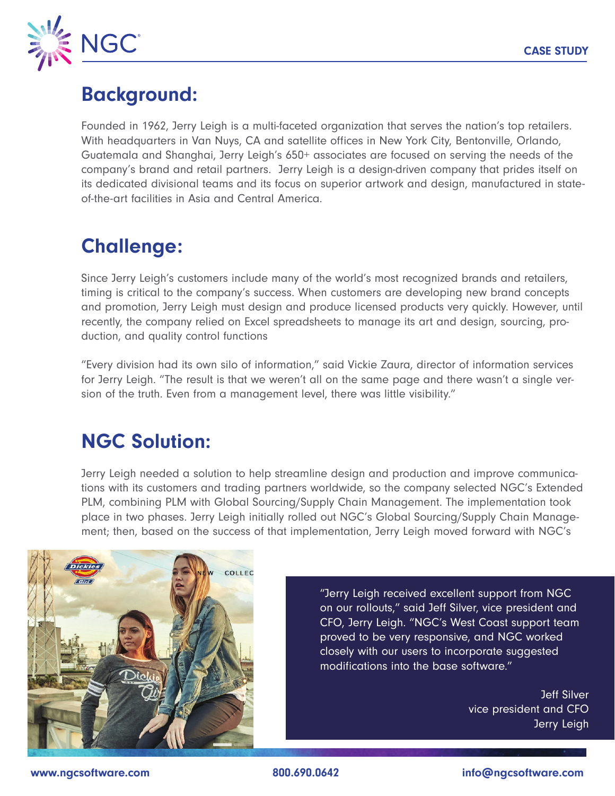

## Background:

Founded in 1962, Jerry Leigh is a multi-faceted organization that serves the nation's top retailers. With headquarters in Van Nuys, CA and satellite offices in New York City, Bentonville, Orlando, Guatemala and Shanghai, Jerry Leigh's 650+ associates are focused on serving the needs of the company's brand and retail partners. Jerry Leigh is a design-driven company that prides itself on its dedicated divisional teams and its focus on superior artwork and design, manufactured in stateof-the-art facilities in Asia and Central America.

# Challenge:

Since Jerry Leigh's customers include many of the world's most recognized brands and retailers, timing is critical to the company's success. When customers are developing new brand concepts and promotion, Jerry Leigh must design and produce licensed products very quickly. However, until recently, the company relied on Excel spreadsheets to manage its art and design, sourcing, production, and quality control functions

"Every division had its own silo of information," said Vickie Zaura, director of information services for Jerry Leigh. "The result is that we weren't all on the same page and there wasn't a single version of the truth. Even from a management level, there was little visibility."

#### NGC Solution:

Jerry Leigh needed a solution to help streamline design and production and improve communications with its customers and trading partners worldwide, so the company selected NGC's Extended PLM, combining PLM with Global Sourcing/Supply Chain Management. The implementation took place in two phases. Jerry Leigh initially rolled out NGC's Global Sourcing/Supply Chain Management; then, based on the success of that implementation, Jerry Leigh moved forward with NGC's



"Jerry Leigh received excellent support from NGC on our rollouts," said Jeff Silver, vice president and CFO, Jerry Leigh. "NGC's West Coast support team proved to be very responsive, and NGC worked closely with our users to incorporate suggested modifications into the base software."

> Jeff Silver vice president and CFO Jerry Leigh